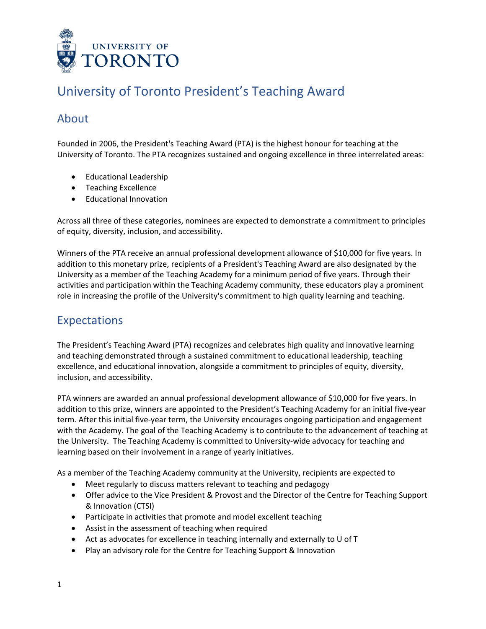

# University of Toronto President's Teaching Award

## About

Founded in 2006, the President's Teaching Award (PTA) is the highest honour for teaching at the University of Toronto. The PTA recognizes sustained and ongoing excellence in three interrelated areas:

- Educational Leadership
- Teaching Excellence
- Educational Innovation

Across all three of these categories, nominees are expected to demonstrate a commitment to principles of equity, diversity, inclusion, and accessibility.

Winners of the PTA receive an annual professional development allowance of \$10,000 for five years. In addition to this monetary prize, recipients of a President's Teaching Award are also designated by the University as a member of the Teaching Academy for a minimum period of five years. Through their activities and participation within the Teaching Academy community, these educators play a prominent role in increasing the profile of the University's commitment to high quality learning and teaching.

### Expectations

The President's Teaching Award (PTA) recognizes and celebrates high quality and innovative learning and teaching demonstrated through a sustained commitment to educational leadership, teaching excellence, and educational innovation, alongside a commitment to principles of equity, diversity, inclusion, and accessibility.

PTA winners are awarded an annual professional development allowance of \$10,000 for five years. In addition to this prize, winners are appointed to the President's Teaching Academy for an initial five-year term. After this initial five-year term, the University encourages ongoing participation and engagement with the Academy. The goal of the Teaching Academy is to contribute to the advancement of teaching at the University. The Teaching Academy is committed to University-wide advocacy for teaching and learning based on their involvement in a range of yearly initiatives.

As a member of the Teaching Academy community at the University, recipients are expected to

- Meet regularly to discuss matters relevant to teaching and pedagogy
- Offer advice to the Vice President & Provost and the Director of the Centre for Teaching Support & Innovation (CTSI)
- Participate in activities that promote and model excellent teaching
- Assist in the assessment of teaching when required
- Act as advocates for excellence in teaching internally and externally to U of T
- Play an advisory role for the Centre for Teaching Support & Innovation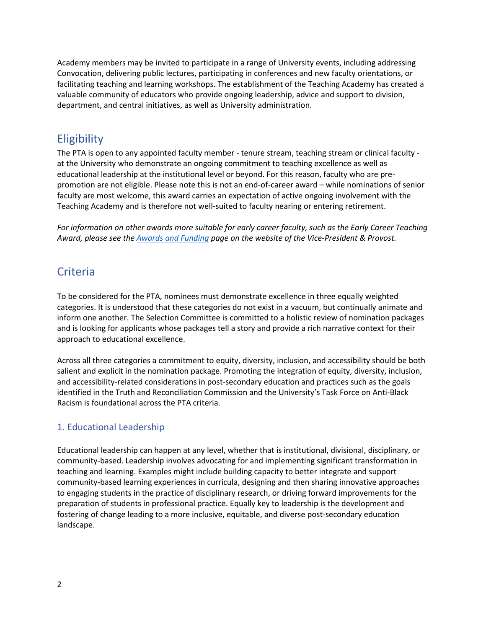Academy members may be invited to participate in a range of University events, including addressing Convocation, delivering public lectures, participating in conferences and new faculty orientations, or facilitating teaching and learning workshops. The establishment of the Teaching Academy has created a valuable community of educators who provide ongoing leadership, advice and support to division, department, and central initiatives, as well as University administration.

### **Eligibility**

The PTA is open to any appointed faculty member - tenure stream, teaching stream or clinical faculty at the University who demonstrate an ongoing commitment to teaching excellence as well as educational leadership at the institutional level or beyond. For this reason, faculty who are prepromotion are not eligible. Please note this is not an end-of-career award – while nominations of senior faculty are most welcome, this award carries an expectation of active ongoing involvement with the Teaching Academy and is therefore not well-suited to faculty nearing or entering retirement.

*For information on other awards more suitable for early career faculty, such as the Early Career Teaching Award, please see the [Awards and Funding](https://www.provost.utoronto.ca/awards-funding/#section_3) page on the website of the Vice-President & Provost.*

## **Criteria**

To be considered for the PTA, nominees must demonstrate excellence in three equally weighted categories. It is understood that these categories do not exist in a vacuum, but continually animate and inform one another. The Selection Committee is committed to a holistic review of nomination packages and is looking for applicants whose packages tell a story and provide a rich narrative context for their approach to educational excellence.

Across all three categories a commitment to equity, diversity, inclusion, and accessibility should be both salient and explicit in the nomination package. Promoting the integration of equity, diversity, inclusion, and accessibility-related considerations in post-secondary education and practices such as the goals identified in the Truth and Reconciliation Commission and the University's Task Force on Anti-Black Racism is foundational across the PTA criteria.

### 1. Educational Leadership

Educational leadership can happen at any level, whether that is institutional, divisional, disciplinary, or community-based. Leadership involves advocating for and implementing significant transformation in teaching and learning. Examples might include building capacity to better integrate and support community-based learning experiences in curricula, designing and then sharing innovative approaches to engaging students in the practice of disciplinary research, or driving forward improvements for the preparation of students in professional practice. Equally key to leadership is the development and fostering of change leading to a more inclusive, equitable, and diverse post-secondary education landscape.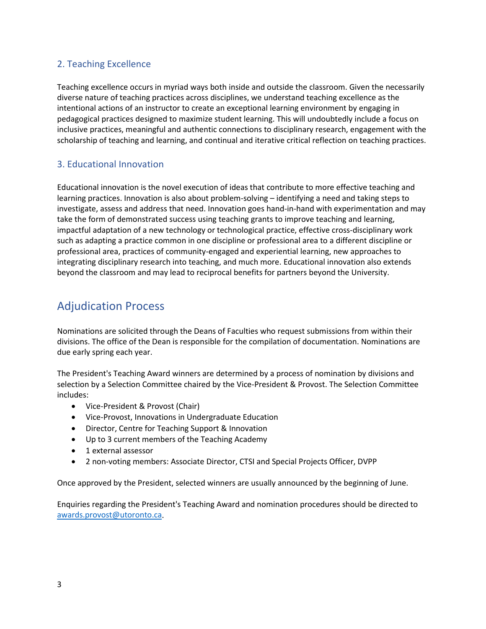### 2. Teaching Excellence

Teaching excellence occurs in myriad ways both inside and outside the classroom. Given the necessarily diverse nature of teaching practices across disciplines, we understand teaching excellence as the intentional actions of an instructor to create an exceptional learning environment by engaging in pedagogical practices designed to maximize student learning. This will undoubtedly include a focus on inclusive practices, meaningful and authentic connections to disciplinary research, engagement with the scholarship of teaching and learning, and continual and iterative critical reflection on teaching practices.

### 3. Educational Innovation

Educational innovation is the novel execution of ideas that contribute to more effective teaching and learning practices. Innovation is also about problem-solving – identifying a need and taking steps to investigate, assess and address that need. Innovation goes hand-in-hand with experimentation and may take the form of demonstrated success using teaching grants to improve teaching and learning, impactful adaptation of a new technology or technological practice, effective cross-disciplinary work such as adapting a practice common in one discipline or professional area to a different discipline or professional area, practices of community-engaged and experiential learning, new approaches to integrating disciplinary research into teaching, and much more. Educational innovation also extends beyond the classroom and may lead to reciprocal benefits for partners beyond the University.

### Adjudication Process

Nominations are solicited through the Deans of Faculties who request submissions from within their divisions. The office of the Dean is responsible for the compilation of documentation. Nominations are due early spring each year.

The President's Teaching Award winners are determined by a process of nomination by divisions and selection by a Selection Committee chaired by the Vice-President & Provost. The Selection Committee includes:

- Vice-President & Provost (Chair)
- Vice-Provost, Innovations in Undergraduate Education
- Director, Centre for Teaching Support & Innovation
- Up to 3 current members of the Teaching Academy
- 1 external assessor
- 2 non-voting members: Associate Director, CTSI and Special Projects Officer, DVPP

Once approved by the President, selected winners are usually announced by the beginning of June.

Enquiries regarding the President's Teaching Award and nomination procedures should be directed to [awards.provost@utoronto.ca.](mailto:awards.provost@utoronto.ca)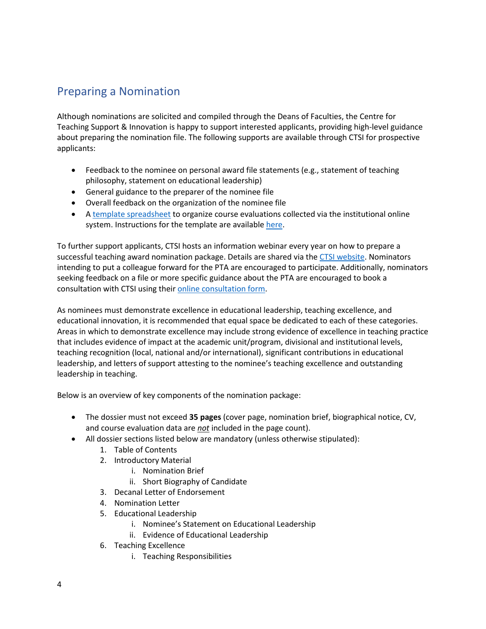## Preparing a Nomination

Although nominations are solicited and compiled through the Deans of Faculties, the Centre for Teaching Support & Innovation is happy to support interested applicants, providing high-level guidance about preparing the nomination file. The following supports are available through CTSI for prospective applicants:

- Feedback to the nominee on personal award file statements (e.g., statement of teaching philosophy, statement on educational leadership)
- General guidance to the preparer of the nominee file
- Overall feedback on the organization of the nominee file
- A [template spreadsheet](https://www.provost.utoronto.ca/wp-content/uploads/sites/155/2021/09/Course-Evaluation-Summary-Sheet-Template-10-08-2017.xlsx) to organize course evaluations collected via the institutional online system. Instructions for the template are availabl[e here.](https://www.provost.utoronto.ca/wp-content/uploads/sites/155/2021/09/Course-evaluation-summary-sheet-instructions-10-08-2017.pdf)

To further support applicants, CTSI hosts an information webinar every year on how to prepare a successful teaching award nomination package. Details are shared via th[e CTSI website.](https://teaching.utoronto.ca/events/) Nominators intending to put a colleague forward for the PTA are encouraged to participate. Additionally, nominators seeking feedback on a file or more specific guidance about the PTA are encouraged to book a consultation with CTSI using their [online consultation form.](https://teaching.utoronto.ca/teaching-support/consultations/request-form/)

As nominees must demonstrate excellence in educational leadership, teaching excellence, and educational innovation, it is recommended that equal space be dedicated to each of these categories. Areas in which to demonstrate excellence may include strong evidence of excellence in teaching practice that includes evidence of impact at the academic unit/program, divisional and institutional levels, teaching recognition (local, national and/or international), significant contributions in educational leadership, and letters of support attesting to the nominee's teaching excellence and outstanding leadership in teaching.

Below is an overview of key components of the nomination package:

- The dossier must not exceed **35 pages** (cover page, nomination brief, biographical notice, CV, and course evaluation data are *not* included in the page count).
- All dossier sections listed below are mandatory (unless otherwise stipulated):
	- 1. Table of Contents
	- 2. Introductory Material
		- i. Nomination Brief
		- ii. Short Biography of Candidate
	- 3. Decanal Letter of Endorsement
	- 4. Nomination Letter
	- 5. Educational Leadership
		- i. Nominee's Statement on Educational Leadership
		- ii. Evidence of Educational Leadership
	- 6. Teaching Excellence
		- i. Teaching Responsibilities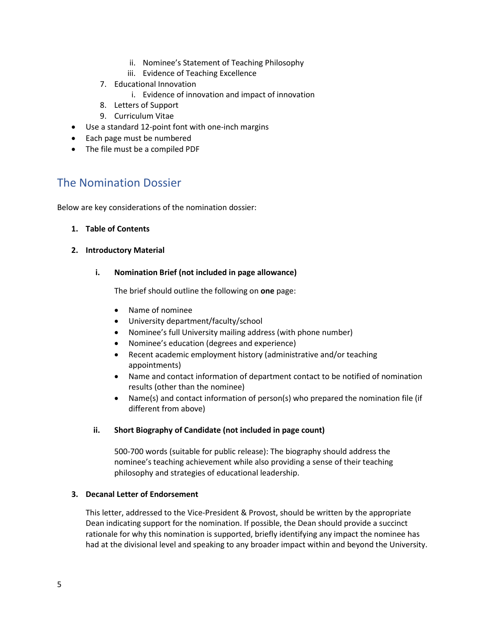- ii. Nominee's Statement of Teaching Philosophy
- iii. Evidence of Teaching Excellence
- 7. Educational Innovation
	- i. Evidence of innovation and impact of innovation
- 8. Letters of Support
- 9. Curriculum Vitae
- Use a standard 12-point font with one-inch margins
- Each page must be numbered
- The file must be a compiled PDF

### The Nomination Dossier

Below are key considerations of the nomination dossier:

#### **1. Table of Contents**

#### **2. Introductory Material**

#### **i. Nomination Brief (not included in page allowance)**

The brief should outline the following on **one** page:

- Name of nominee
- University department/faculty/school
- Nominee's full University mailing address (with phone number)
- Nominee's education (degrees and experience)
- Recent academic employment history (administrative and/or teaching appointments)
- Name and contact information of department contact to be notified of nomination results (other than the nominee)
- Name(s) and contact information of person(s) who prepared the nomination file (if different from above)

#### **ii. Short Biography of Candidate (not included in page count)**

500-700 words (suitable for public release): The biography should address the nominee's teaching achievement while also providing a sense of their teaching philosophy and strategies of educational leadership.

#### **3. Decanal Letter of Endorsement**

This letter, addressed to the Vice-President & Provost, should be written by the appropriate Dean indicating support for the nomination. If possible, the Dean should provide a succinct rationale for why this nomination is supported, briefly identifying any impact the nominee has had at the divisional level and speaking to any broader impact within and beyond the University.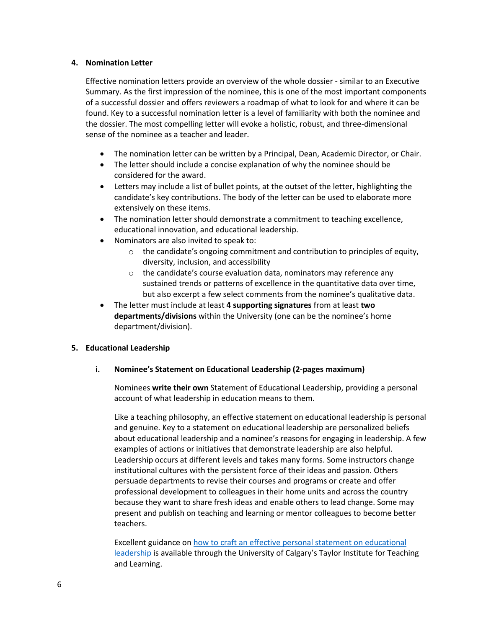#### **4. Nomination Letter**

Effective nomination letters provide an overview of the whole dossier - similar to an Executive Summary. As the first impression of the nominee, this is one of the most important components of a successful dossier and offers reviewers a roadmap of what to look for and where it can be found. Key to a successful nomination letter is a level of familiarity with both the nominee and the dossier. The most compelling letter will evoke a holistic, robust, and three-dimensional sense of the nominee as a teacher and leader.

- The nomination letter can be written by a Principal, Dean, Academic Director, or Chair.
- The letter should include a concise explanation of why the nominee should be considered for the award.
- Letters may include a list of bullet points, at the outset of the letter, highlighting the candidate's key contributions. The body of the letter can be used to elaborate more extensively on these items.
- The nomination letter should demonstrate a commitment to teaching excellence, educational innovation, and educational leadership.
- Nominators are also invited to speak to:
	- $\circ$  the candidate's ongoing commitment and contribution to principles of equity, diversity, inclusion, and accessibility
	- o the candidate's course evaluation data, nominators may reference any sustained trends or patterns of excellence in the quantitative data over time, but also excerpt a few select comments from the nominee's qualitative data.
- The letter must include at least **4 supporting signatures** from at least **two departments/divisions** within the University (one can be the nominee's home department/division).

#### **5. Educational Leadership**

#### **i. Nominee's Statement on Educational Leadership (2-pages maximum)**

Nominees **write their own** Statement of Educational Leadership, providing a personal account of what leadership in education means to them.

Like a teaching philosophy, an effective statement on educational leadership is personal and genuine. Key to a statement on educational leadership are personalized beliefs about educational leadership and a nominee's reasons for engaging in leadership. A few examples of actions or initiatives that demonstrate leadership are also helpful. Leadership occurs at different levels and takes many forms. Some instructors change institutional cultures with the persistent force of their ideas and passion. Others persuade departments to revise their courses and programs or create and offer professional development to colleagues in their home units and across the country because they want to share fresh ideas and enable others to lead change. Some may present and publish on teaching and learning or mentor colleagues to become better teachers.

Excellent guidance o[n how to craft an effective personal statement on educational](http://connections.ucalgaryblogs.ca/2016/12/22/writing-an-educational-leadership-philosophy-statement/)  [leadership](http://connections.ucalgaryblogs.ca/2016/12/22/writing-an-educational-leadership-philosophy-statement/) is available through the University of Calgary's Taylor Institute for Teaching and Learning.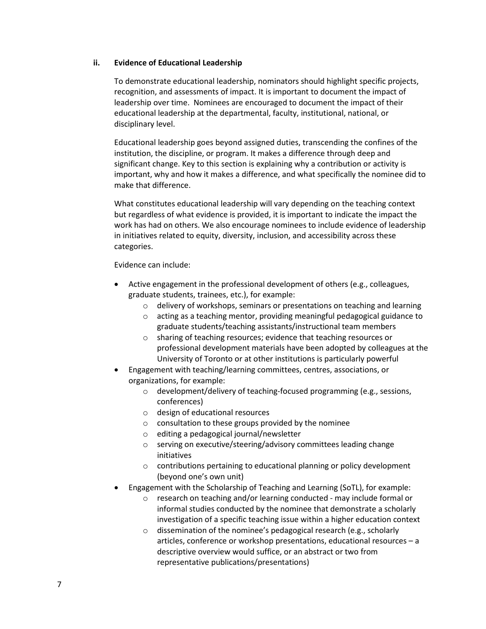#### **ii. Evidence of Educational Leadership**

To demonstrate educational leadership, nominators should highlight specific projects, recognition, and assessments of impact. It is important to document the impact of leadership over time. Nominees are encouraged to document the impact of their educational leadership at the departmental, faculty, institutional, national, or disciplinary level.

Educational leadership goes beyond assigned duties, transcending the confines of the institution, the discipline, or program. It makes a difference through deep and significant change. Key to this section is explaining why a contribution or activity is important, why and how it makes a difference, and what specifically the nominee did to make that difference.

What constitutes educational leadership will vary depending on the teaching context but regardless of what evidence is provided, it is important to indicate the impact the work has had on others. We also encourage nominees to include evidence of leadership in initiatives related to equity, diversity, inclusion, and accessibility across these categories.

Evidence can include:

- Active engagement in the professional development of others (e.g., colleagues, graduate students, trainees, etc.), for example:
	- o delivery of workshops, seminars or presentations on teaching and learning
	- o acting as a teaching mentor, providing meaningful pedagogical guidance to graduate students/teaching assistants/instructional team members
	- o sharing of teaching resources; evidence that teaching resources or professional development materials have been adopted by colleagues at the University of Toronto or at other institutions is particularly powerful
- Engagement with teaching/learning committees, centres, associations, or organizations, for example:
	- o development/delivery of teaching-focused programming (e.g., sessions, conferences)
	- o design of educational resources
	- o consultation to these groups provided by the nominee
	- o editing a pedagogical journal/newsletter
	- o serving on executive/steering/advisory committees leading change initiatives
	- o contributions pertaining to educational planning or policy development (beyond one's own unit)
- Engagement with the Scholarship of Teaching and Learning (SoTL), for example:
	- o research on teaching and/or learning conducted may include formal or informal studies conducted by the nominee that demonstrate a scholarly investigation of a specific teaching issue within a higher education context
	- $\circ$  dissemination of the nominee's pedagogical research (e.g., scholarly articles, conference or workshop presentations, educational resources – a descriptive overview would suffice, or an abstract or two from representative publications/presentations)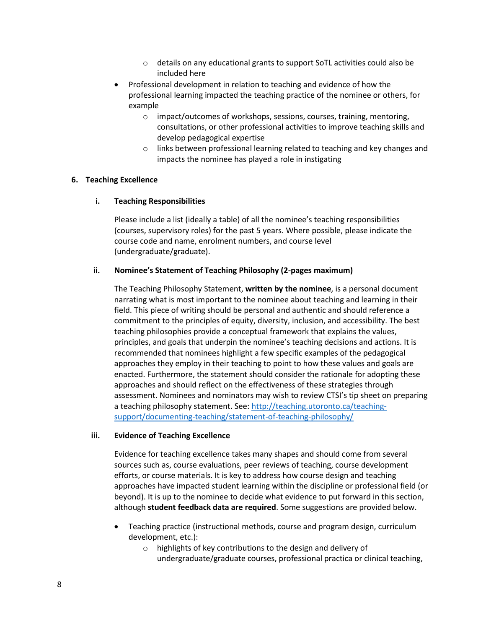- o details on any educational grants to support SoTL activities could also be included here
- Professional development in relation to teaching and evidence of how the professional learning impacted the teaching practice of the nominee or others, for example
	- o impact/outcomes of workshops, sessions, courses, training, mentoring, consultations, or other professional activities to improve teaching skills and develop pedagogical expertise
	- o links between professional learning related to teaching and key changes and impacts the nominee has played a role in instigating

#### **6. Teaching Excellence**

#### **i. Teaching Responsibilities**

Please include a list (ideally a table) of all the nominee's teaching responsibilities (courses, supervisory roles) for the past 5 years. Where possible, please indicate the course code and name, enrolment numbers, and course level (undergraduate/graduate).

#### **ii. Nominee's Statement of Teaching Philosophy (2-pages maximum)**

The Teaching Philosophy Statement, **written by the nominee**, is a personal document narrating what is most important to the nominee about teaching and learning in their field. This piece of writing should be personal and authentic and should reference a commitment to the principles of equity, diversity, inclusion, and accessibility. The best teaching philosophies provide a conceptual framework that explains the values, principles, and goals that underpin the nominee's teaching decisions and actions. It is recommended that nominees highlight a few specific examples of the pedagogical approaches they employ in their teaching to point to how these values and goals are enacted. Furthermore, the statement should consider the rationale for adopting these approaches and should reflect on the effectiveness of these strategies through assessment. Nominees and nominators may wish to review CTSI's tip sheet on preparing a teaching philosophy statement. See: [http://teaching.utoronto.ca/teaching](http://teaching.utoronto.ca/teaching-support/documenting-teaching/statement-of-teaching-philosophy/)[support/documenting-teaching/statement-of-teaching-philosophy/](http://teaching.utoronto.ca/teaching-support/documenting-teaching/statement-of-teaching-philosophy/)

#### **iii. Evidence of Teaching Excellence**

Evidence for teaching excellence takes many shapes and should come from several sources such as, course evaluations, peer reviews of teaching, course development efforts, or course materials. It is key to address how course design and teaching approaches have impacted student learning within the discipline or professional field (or beyond). It is up to the nominee to decide what evidence to put forward in this section, although **student feedback data are required**. Some suggestions are provided below.

- Teaching practice (instructional methods, course and program design, curriculum development, etc.):
	- o highlights of key contributions to the design and delivery of undergraduate/graduate courses, professional practica or clinical teaching,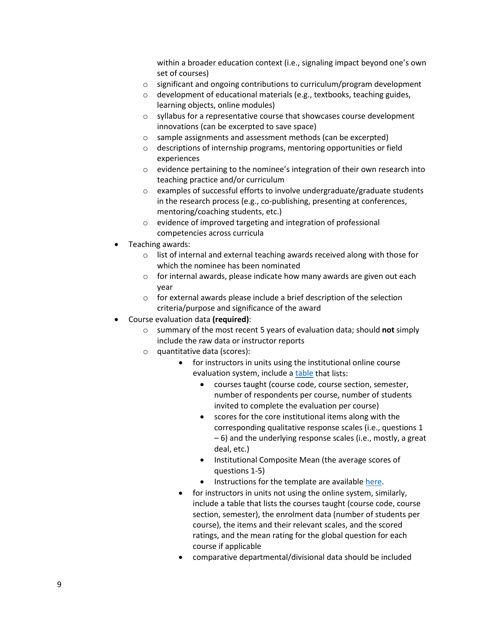within a broader education context (i.e., signaling impact beyond one's own set of courses)

- $\circ$  significant and ongoing contributions to curriculum/program development
- o development of educational materials (e.g., textbooks, teaching guides, learning objects, online modules)
- o syllabus for a representative course that showcases course development innovations (can be excerpted to save space)
- o sample assignments and assessment methods (can be excerpted)
- o descriptions of internship programs, mentoring opportunities or field experiences
- o evidence pertaining to the nominee's integration of their own research into teaching practice and/or curriculum
- o examples of successful efforts to involve undergraduate/graduate students in the research process (e.g., co-publishing, presenting at conferences, mentoring/coaching students, etc.)
- o evidence of improved targeting and integration of professional competencies across curricula
- Teaching awards:
	- o list of internal and external teaching awards received along with those for which the nominee has been nominated
	- $\circ$  for internal awards, please indicate how many awards are given out each year
	- o for external awards please include a brief description of the selection criteria/purpose and significance of the award
- Course evaluation data **(required)**:
	- o summary of the most recent 5 years of evaluation data; should **not** simply include the raw data or instructor reports
	- o quantitative data (scores):
		- for instructors in units using the institutional online course evaluation system, include a [table](https://www.provost.utoronto.ca/wp-content/uploads/sites/155/2021/09/Course-Evaluation-Summary-Sheet-Template-10-08-2017.xlsx) that lists:
			- courses taught (course code, course section, semester, number of respondents per course, number of students invited to complete the evaluation per course)
			- scores for the core institutional items along with the corresponding qualitative response scales (i.e., questions 1 – 6) and the underlying response scales (i.e., mostly, a great deal, etc.)
			- Institutional Composite Mean (the average scores of questions 1-5)
			- Instructions for the template are availabl[e here.](https://www.provost.utoronto.ca/wp-content/uploads/sites/155/2021/09/Course-evaluation-summary-sheet-instructions-10-08-2017.pdf)
			- for instructors in units not using the online system, similarly, include a table that lists the courses taught (course code, course section, semester), the enrolment data (number of students per course), the items and their relevant scales, and the scored ratings, and the mean rating for the global question for each course if applicable
			- comparative departmental/divisional data should be included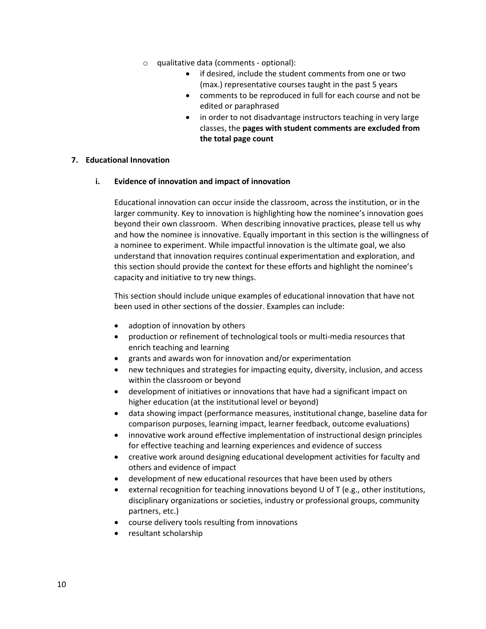- o qualitative data (comments optional):
	- if desired, include the student comments from one or two (max.) representative courses taught in the past 5 years
	- comments to be reproduced in full for each course and not be edited or paraphrased
	- in order to not disadvantage instructors teaching in very large classes, the **pages with student comments are excluded from the total page count**

#### **7. Educational Innovation**

#### **i. Evidence of innovation and impact of innovation**

Educational innovation can occur inside the classroom, across the institution, or in the larger community. Key to innovation is highlighting how the nominee's innovation goes beyond their own classroom. When describing innovative practices, please tell us why and how the nominee is innovative. Equally important in this section is the willingness of a nominee to experiment. While impactful innovation is the ultimate goal, we also understand that innovation requires continual experimentation and exploration, and this section should provide the context for these efforts and highlight the nominee's capacity and initiative to try new things.

This section should include unique examples of educational innovation that have not been used in other sections of the dossier. Examples can include:

- adoption of innovation by others
- production or refinement of technological tools or multi-media resources that enrich teaching and learning
- grants and awards won for innovation and/or experimentation
- new techniques and strategies for impacting equity, diversity, inclusion, and access within the classroom or beyond
- development of initiatives or innovations that have had a significant impact on higher education (at the institutional level or beyond)
- data showing impact (performance measures, institutional change, baseline data for comparison purposes, learning impact, learner feedback, outcome evaluations)
- innovative work around effective implementation of instructional design principles for effective teaching and learning experiences and evidence of success
- creative work around designing educational development activities for faculty and others and evidence of impact
- development of new educational resources that have been used by others
- external recognition for teaching innovations beyond U of T (e.g., other institutions, disciplinary organizations or societies, industry or professional groups, community partners, etc.)
- course delivery tools resulting from innovations
- resultant scholarship